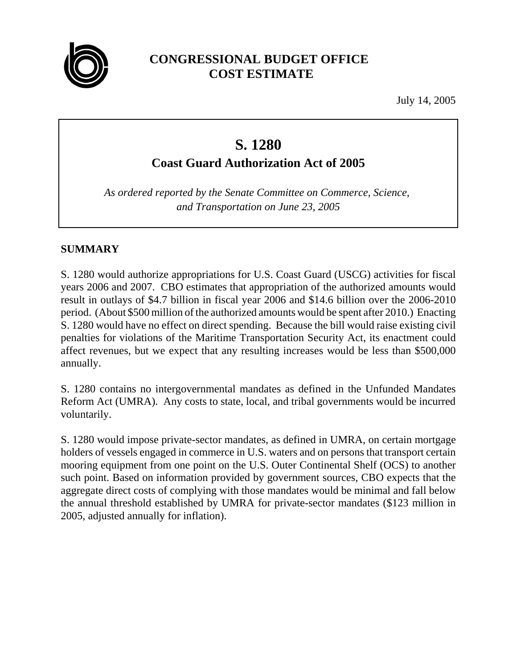

## **CONGRESSIONAL BUDGET OFFICE COST ESTIMATE**

July 14, 2005

# **S. 1280**

**Coast Guard Authorization Act of 2005**

*As ordered reported by the Senate Committee on Commerce, Science, and Transportation on June 23, 2005*

## **SUMMARY**

S. 1280 would authorize appropriations for U.S. Coast Guard (USCG) activities for fiscal years 2006 and 2007. CBO estimates that appropriation of the authorized amounts would result in outlays of \$4.7 billion in fiscal year 2006 and \$14.6 billion over the 2006-2010 period. (About \$500 million of the authorized amounts would be spent after 2010.) Enacting S. 1280 would have no effect on direct spending. Because the bill would raise existing civil penalties for violations of the Maritime Transportation Security Act, its enactment could affect revenues, but we expect that any resulting increases would be less than \$500,000 annually.

S. 1280 contains no intergovernmental mandates as defined in the Unfunded Mandates Reform Act (UMRA). Any costs to state, local, and tribal governments would be incurred voluntarily.

S. 1280 would impose private-sector mandates, as defined in UMRA, on certain mortgage holders of vessels engaged in commerce in U.S. waters and on persons that transport certain mooring equipment from one point on the U.S. Outer Continental Shelf (OCS) to another such point. Based on information provided by government sources, CBO expects that the aggregate direct costs of complying with those mandates would be minimal and fall below the annual threshold established by UMRA for private-sector mandates (\$123 million in 2005, adjusted annually for inflation).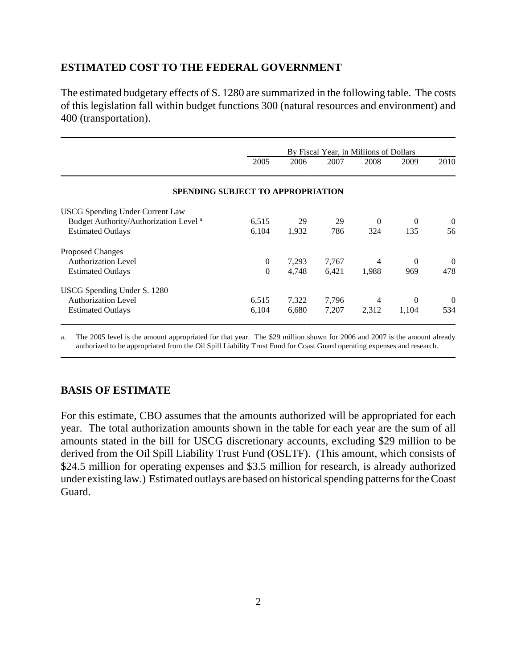### **ESTIMATED COST TO THE FEDERAL GOVERNMENT**

The estimated budgetary effects of S. 1280 are summarized in the following table. The costs of this legislation fall within budget functions 300 (natural resources and environment) and 400 (transportation).

|                                                   |                | By Fiscal Year, in Millions of Dollars |       |          |          |                |  |
|---------------------------------------------------|----------------|----------------------------------------|-------|----------|----------|----------------|--|
|                                                   | 2005           | 2006                                   | 2007  | 2008     | 2009     | 2010           |  |
| <b>SPENDING SUBJECT TO APPROPRIATION</b>          |                |                                        |       |          |          |                |  |
| <b>USCG</b> Spending Under Current Law            |                |                                        |       |          |          |                |  |
| Budget Authority/Authorization Level <sup>a</sup> | 6,515          | 29                                     | 29    | $\Omega$ | $\Omega$ | $\overline{0}$ |  |
| <b>Estimated Outlays</b>                          | 6,104          | 1,932                                  | 786   | 324      | 135      | 56             |  |
| <b>Proposed Changes</b>                           |                |                                        |       |          |          |                |  |
| <b>Authorization Level</b>                        | $\overline{0}$ | 7,293                                  | 7,767 | 4        | $\Omega$ | $\overline{0}$ |  |
| <b>Estimated Outlays</b>                          | $\Omega$       | 4,748                                  | 6,421 | 1,988    | 969      | 478            |  |
| USCG Spending Under S. 1280                       |                |                                        |       |          |          |                |  |
| <b>Authorization Level</b>                        | 6,515          | 7,322                                  | 7,796 | 4        | $\Omega$ | $\overline{0}$ |  |
| <b>Estimated Outlays</b>                          | 6,104          | 6,680                                  | 7,207 | 2,312    | 1,104    | 534            |  |

a. The 2005 level is the amount appropriated for that year. The \$29 million shown for 2006 and 2007 is the amount already authorized to be appropriated from the Oil Spill Liability Trust Fund for Coast Guard operating expenses and research.

#### **BASIS OF ESTIMATE**

For this estimate, CBO assumes that the amounts authorized will be appropriated for each year. The total authorization amounts shown in the table for each year are the sum of all amounts stated in the bill for USCG discretionary accounts, excluding \$29 million to be derived from the Oil Spill Liability Trust Fund (OSLTF). (This amount, which consists of \$24.5 million for operating expenses and \$3.5 million for research, is already authorized under existing law.) Estimated outlays are based on historical spending patterns for the Coast Guard.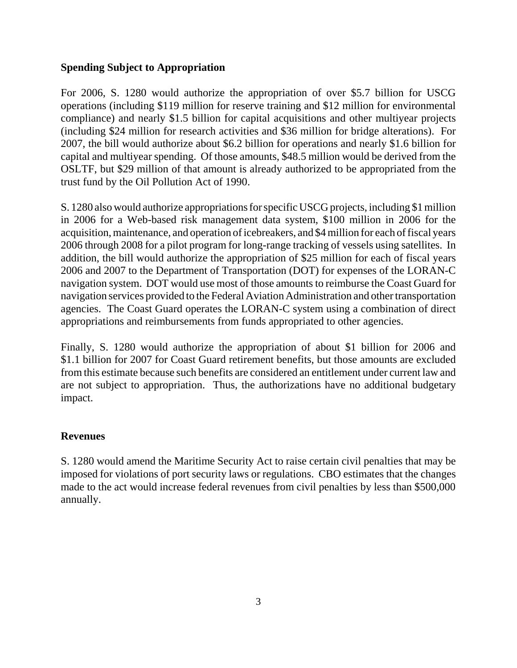#### **Spending Subject to Appropriation**

For 2006, S. 1280 would authorize the appropriation of over \$5.7 billion for USCG operations (including \$119 million for reserve training and \$12 million for environmental compliance) and nearly \$1.5 billion for capital acquisitions and other multiyear projects (including \$24 million for research activities and \$36 million for bridge alterations). For 2007, the bill would authorize about \$6.2 billion for operations and nearly \$1.6 billion for capital and multiyear spending. Of those amounts, \$48.5 million would be derived from the OSLTF, but \$29 million of that amount is already authorized to be appropriated from the trust fund by the Oil Pollution Act of 1990.

S. 1280 also would authorize appropriations for specific USCG projects, including \$1 million in 2006 for a Web-based risk management data system, \$100 million in 2006 for the acquisition, maintenance, and operation of icebreakers, and \$4 million for each of fiscal years 2006 through 2008 for a pilot program for long-range tracking of vessels using satellites. In addition, the bill would authorize the appropriation of \$25 million for each of fiscal years 2006 and 2007 to the Department of Transportation (DOT) for expenses of the LORAN-C navigation system. DOT would use most of those amounts to reimburse the Coast Guard for navigation services provided to the Federal Aviation Administration and other transportation agencies. The Coast Guard operates the LORAN-C system using a combination of direct appropriations and reimbursements from funds appropriated to other agencies.

Finally, S. 1280 would authorize the appropriation of about \$1 billion for 2006 and \$1.1 billion for 2007 for Coast Guard retirement benefits, but those amounts are excluded from this estimate because such benefits are considered an entitlement under current law and are not subject to appropriation. Thus, the authorizations have no additional budgetary impact.

#### **Revenues**

S. 1280 would amend the Maritime Security Act to raise certain civil penalties that may be imposed for violations of port security laws or regulations. CBO estimates that the changes made to the act would increase federal revenues from civil penalties by less than \$500,000 annually.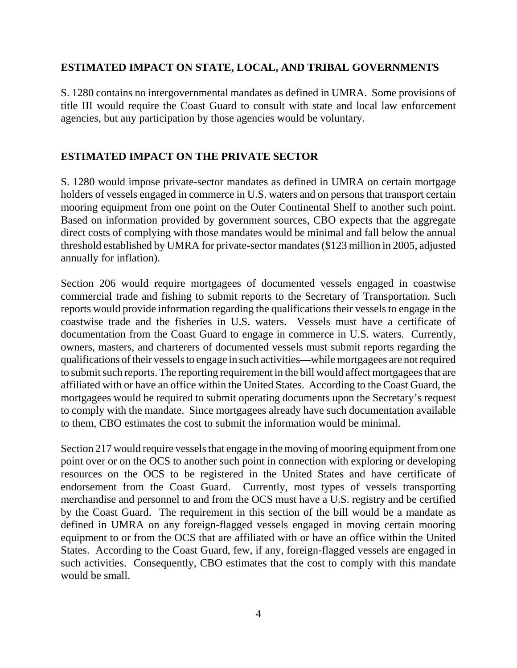#### **ESTIMATED IMPACT ON STATE, LOCAL, AND TRIBAL GOVERNMENTS**

S. 1280 contains no intergovernmental mandates as defined in UMRA. Some provisions of title III would require the Coast Guard to consult with state and local law enforcement agencies, but any participation by those agencies would be voluntary.

#### **ESTIMATED IMPACT ON THE PRIVATE SECTOR**

S. 1280 would impose private-sector mandates as defined in UMRA on certain mortgage holders of vessels engaged in commerce in U.S. waters and on persons that transport certain mooring equipment from one point on the Outer Continental Shelf to another such point. Based on information provided by government sources, CBO expects that the aggregate direct costs of complying with those mandates would be minimal and fall below the annual threshold established by UMRA for private-sector mandates (\$123 million in 2005, adjusted annually for inflation).

Section 206 would require mortgagees of documented vessels engaged in coastwise commercial trade and fishing to submit reports to the Secretary of Transportation. Such reports would provide information regarding the qualifications their vessels to engage in the coastwise trade and the fisheries in U.S. waters. Vessels must have a certificate of documentation from the Coast Guard to engage in commerce in U.S. waters. Currently, owners, masters, and charterers of documented vessels must submit reports regarding the qualifications of their vessels to engage in such activities—while mortgagees are not required to submit such reports. The reporting requirement in the bill would affect mortgagees that are affiliated with or have an office within the United States. According to the Coast Guard, the mortgagees would be required to submit operating documents upon the Secretary's request to comply with the mandate. Since mortgagees already have such documentation available to them, CBO estimates the cost to submit the information would be minimal.

Section 217 would require vessels that engage in the moving of mooring equipment from one point over or on the OCS to another such point in connection with exploring or developing resources on the OCS to be registered in the United States and have certificate of endorsement from the Coast Guard. Currently, most types of vessels transporting merchandise and personnel to and from the OCS must have a U.S. registry and be certified by the Coast Guard. The requirement in this section of the bill would be a mandate as defined in UMRA on any foreign-flagged vessels engaged in moving certain mooring equipment to or from the OCS that are affiliated with or have an office within the United States. According to the Coast Guard, few, if any, foreign-flagged vessels are engaged in such activities. Consequently, CBO estimates that the cost to comply with this mandate would be small.